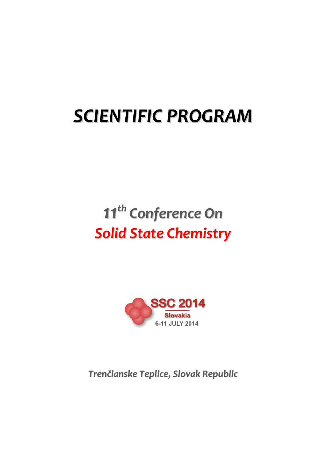# *SCIENTIFIC PROGRAM*

## *11 th Conference On Solid State Chemistry*



*Trenčianske Teplice, Slovak Republic*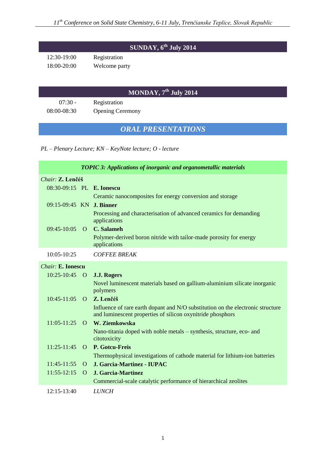## **SUNDAY, 6th July 2014**

12:30-19:00 Registration 18:00-20:00 Welcome party

## **MONDAY, 7th July 2014**

07:30 - Registration 08:00-08:30 Opening Ceremony

## *ORAL PRESENTATIONS*

*PL – Plenary Lecture; KN – KeyNote lecture; O - lecture*

| <b>TOPIC 3: Applications of inorganic and organometallic materials</b> |                |                                                                                                                                               |
|------------------------------------------------------------------------|----------------|-----------------------------------------------------------------------------------------------------------------------------------------------|
| Chair: Z. Lenčéš                                                       |                |                                                                                                                                               |
| 08:30-09:15 PL E. Ionescu                                              |                |                                                                                                                                               |
|                                                                        |                | Ceramic nanocomposites for energy conversion and storage                                                                                      |
| 09:15-09:45 KN J. Binner                                               |                |                                                                                                                                               |
|                                                                        |                | Processing and characterisation of advanced ceramics for demanding<br>applications                                                            |
| $09:45-10:05$                                                          |                | O C. Salameh                                                                                                                                  |
|                                                                        |                | Polymer-derived boron nitride with tailor-made porosity for energy<br>applications                                                            |
| 10:05-10:25                                                            |                | <b>COFFEE BREAK</b>                                                                                                                           |
| <b>Chair: E. Ionescu</b>                                               |                |                                                                                                                                               |
| 10:25-10:45                                                            | $\overline{O}$ | <b>J.J. Rogers</b>                                                                                                                            |
|                                                                        |                | Novel luminescent materials based on gallium-aluminium silicate inorganic<br>polymers                                                         |
| $10:45-11:05$                                                          | $\Omega$       | Z. Lenčéš                                                                                                                                     |
|                                                                        |                | Influence of rare earth dopant and N/O substitution on the electronic structure<br>and luminescent properties of silicon oxynitride phosphors |
| $11:05 - 11:25$                                                        | $\Omega$       | W. Ziemkowska                                                                                                                                 |
|                                                                        |                | Nano-titania doped with noble metals – synthesis, structure, eco- and<br>citotoxicity                                                         |
| $11:25-11:45$                                                          | $\Omega$       | P. Gotcu-Freis                                                                                                                                |
|                                                                        |                | Thermophysical investigations of cathode material for lithium-ion batteries                                                                   |
| $11:45-11:55$                                                          | $\Omega$       | J. Garcia-Martinez - IUPAC                                                                                                                    |
| $11:55-12:15$                                                          | $\Omega$       | J. Garcia-Martinez                                                                                                                            |
|                                                                        |                | Commercial-scale catalytic performance of hierarchical zeolites                                                                               |
| 12:15-13:40                                                            |                | <b>LUNCH</b>                                                                                                                                  |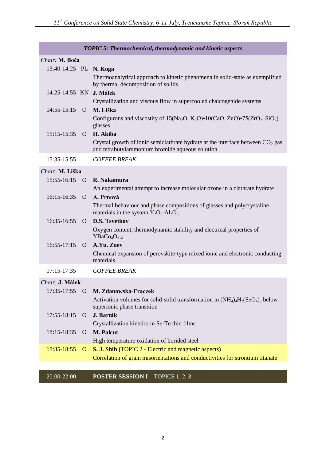| <b>TOPIC 5: Thermochemical, thermodynamic and kinetic aspects</b> |              |                                                                                                                                            |
|-------------------------------------------------------------------|--------------|--------------------------------------------------------------------------------------------------------------------------------------------|
| Chair: M. Boča                                                    |              |                                                                                                                                            |
| 13:40-14:25 PL N. Koga                                            |              |                                                                                                                                            |
|                                                                   |              | Thermoanalytical approach to kinetic phenomena in solid-state as exemplified<br>by thermal decomposition of solids                         |
| 14:25-14:55 KN J. Málek                                           |              |                                                                                                                                            |
|                                                                   |              | Crystallization and viscous flow in supercooled chalcogenide systems                                                                       |
| $14:55 - 15:15$                                                   | $\Omega$     | M. Liška                                                                                                                                   |
|                                                                   |              | Configurons and viscostity of $15(Na_2O, K_2O) \cdot 10(CaO, ZnO) \cdot 75(ZrO_2, SiO_2)$<br>glasses                                       |
| $15:15-15:35$                                                     | $\Omega$     | H. Akiba                                                                                                                                   |
|                                                                   |              | Crystal growth of ionic semiclathrate hydrate at the interface between $CO2$ gas<br>and tetrabutylammonium bromide aqueous solution        |
| 15:35-15:55                                                       |              | <b>COFFEE BREAK</b>                                                                                                                        |
| Chair: M. Liška                                                   |              |                                                                                                                                            |
| $15:55 - 16:15$                                                   | $\Omega$     | R. Nakamura                                                                                                                                |
|                                                                   |              | An experimental attempt to increase molecular ozone in a clathrate hydrate                                                                 |
| 16:15-16:35                                                       | $\Omega$     | A. Prnová                                                                                                                                  |
|                                                                   |              | Thermal behaviour and phase compositions of glasses and polycrystaline<br>materials in the system $Y_2O_3$ -Al <sub>2</sub> O <sub>3</sub> |
| 16:35-16:55                                                       | $\Omega$     | <b>D.S. Tsvetkov</b>                                                                                                                       |
|                                                                   |              | Oxygen content, thermodynamic stability and electrical properties of<br>YBaCo <sub>4</sub> O <sub>7±δ</sub>                                |
| $16:55-17:15$                                                     | $\Omega$     | A.Yu. Zuev                                                                                                                                 |
|                                                                   |              | Chemical expansion of perovskite-type mixed ionic and electronic conducting<br>materials                                                   |
| $17:15 - 17:35$                                                   |              | <b>COFFEE BREAK</b>                                                                                                                        |
| Chair: J. Málek                                                   |              |                                                                                                                                            |
| 17:35-17:55                                                       | $\mathbf{O}$ | M. Zdanowska-Frączek                                                                                                                       |
|                                                                   |              | Activation volumes for solid-solid transformation in $(NH_4)_4H_2(SeO_4)_3$ below<br>superionic phase transition                           |
| 17:55-18:15                                                       | $\Omega$     | J. Barták                                                                                                                                  |
|                                                                   |              | Crystallization kinetics in Se-Te thin films                                                                                               |
| 18:15-18:35                                                       | $\Omega$     | <b>M. Palcut</b>                                                                                                                           |
|                                                                   |              | High temperature oxidation of borided steel                                                                                                |
| 18:35-18:55                                                       | $\mathbf{O}$ | S. J. Shih (TOPIC 2 - Electric and magnetic aspects)                                                                                       |
|                                                                   |              | Correlation of grain misorientations and conductivities for strontium titanate                                                             |

## 20:00-22:00 **POSTER SESSION I** – TOPICS 1, 2, 3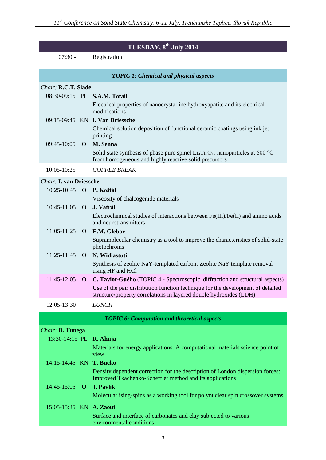| TUESDAY, 8 <sup>th</sup> July 2014 |                |                                                                                                                                                       |  |
|------------------------------------|----------------|-------------------------------------------------------------------------------------------------------------------------------------------------------|--|
| $07:30 -$                          |                | Registration                                                                                                                                          |  |
|                                    |                | <b>TOPIC 1: Chemical and physical aspects</b>                                                                                                         |  |
| Chair: R.C.T. Slade                |                |                                                                                                                                                       |  |
|                                    |                | 08:30-09:15 PL S.A.M. Tofail                                                                                                                          |  |
|                                    |                | Electrical properties of nanocrystalline hydroxyapatite and its electrical<br>modifications                                                           |  |
|                                    |                | 09:15-09:45 KN <b>I. Van Driessche</b>                                                                                                                |  |
|                                    |                | Chemical solution deposition of functional ceramic coatings using ink jet<br>printing                                                                 |  |
| 09:45-10:05                        | $\Omega$       | M. Senna                                                                                                                                              |  |
|                                    |                | Solid state synthesis of phase pure spinel $Li_4Ti_5O_{12}$ nanoparticles at 600 °C                                                                   |  |
|                                    |                | from homogeneous and highly reactive solid precursors                                                                                                 |  |
| 10:05-10:25                        |                | <b>COFFEE BREAK</b>                                                                                                                                   |  |
| <b>Chair: I. van Driessche</b>     |                |                                                                                                                                                       |  |
| 10:25-10:45                        | $\overline{O}$ | P. Koštál                                                                                                                                             |  |
|                                    |                | Viscosity of chalcogenide materials                                                                                                                   |  |
| 10:45-11:05                        | $\Omega$       | J. Vatrál                                                                                                                                             |  |
|                                    |                | Electrochemical studies of interactions between Fe(III)/Fe(II) and amino acids<br>and neurotransmitters                                               |  |
| $11:05-11:25$                      | $\Omega$       | E.M. Glebov                                                                                                                                           |  |
|                                    |                | Supramolecular chemistry as a tool to improve the characteristics of solid-state<br>photochroms                                                       |  |
| 11:25-11:45                        | $\Omega$       | N. Widiastuti                                                                                                                                         |  |
|                                    |                | Synthesis of zeolite NaY-templated carbon: Zeolite NaY template removal<br>using HF and HCl                                                           |  |
| 11:45-12:05                        | O              | C. Taviot-Guého (TOPIC 4 - Spectroscopic, diffraction and structural aspects)                                                                         |  |
|                                    |                | Use of the pair distribution function technique for the development of detailed<br>structure/property correlations in layered double hydroxides (LDH) |  |
| 12:05-13:30                        |                | <b>LUNCH</b>                                                                                                                                          |  |
|                                    |                | <b>TOPIC 6: Computation and theoretical aspects</b>                                                                                                   |  |
| Chair: D. Tunega                   |                |                                                                                                                                                       |  |
| 13:30-14:15 PL R. Ahuja            |                |                                                                                                                                                       |  |
|                                    |                | Materials for energy applications: A computational materials science point of<br>view                                                                 |  |
| 14:15-14:45 KN T. Bucko            |                |                                                                                                                                                       |  |
|                                    |                | Density dependent correction for the description of London dispersion forces:<br>Improved Tkachenko-Scheffler method and its applications             |  |
| 14:45-15:05                        | $\Omega$       | <b>J. Pavlik</b>                                                                                                                                      |  |
|                                    |                | Molecular ising-spins as a working tool for polynuclear spin crossover systems                                                                        |  |
| 15:05-15:35 KN A. Zaoui            |                |                                                                                                                                                       |  |

Surface and interface of carbonates and clay subjected to various environmental conditions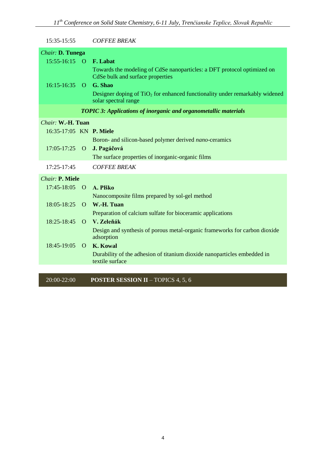| 15:35-15:55             |          | <b>COFFEE BREAK</b>                                                                                         |
|-------------------------|----------|-------------------------------------------------------------------------------------------------------------|
| Chair: D. Tunega        |          |                                                                                                             |
| $15:55-16:15$ O         |          | F. Labat                                                                                                    |
|                         |          | Towards the modeling of CdSe nanoparticles: a DFT protocol optimized on<br>CdSe bulk and surface properties |
| $16:15-16:35$ O         |          | G. Shao                                                                                                     |
|                         |          | Designer doping of $TiO2$ for enhanced functionality under remarkably widened<br>solar spectral range       |
|                         |          | <b>TOPIC 3: Applications of inorganic and organometallic materials</b>                                      |
| Chair: W.-H. Tuan       |          |                                                                                                             |
| 16:35-17:05 KN P. Miele |          |                                                                                                             |
|                         |          | Boron- and silicon-based polymer derived nano-ceramics                                                      |
| $17:05-17:25$ O         |          | J. Pagáčová                                                                                                 |
|                         |          | The surface properties of inorganic-organic films                                                           |
| 17:25-17:45             |          | <b>COFFEE BREAK</b>                                                                                         |
| Chair: P. Miele         |          |                                                                                                             |
| 17:45-18:05             | $\Omega$ | A. Plško                                                                                                    |
|                         |          | Nanocomposite films prepared by sol-gel method                                                              |
| 18:05-18:25             | $\Omega$ | W.-H. Tuan                                                                                                  |
|                         |          | Preparation of calcium sulfate for bioceramic applications                                                  |
| 18:25-18:45             | $\Omega$ | V. Zeleňák                                                                                                  |
|                         |          | Design and synthesis of porous metal-organic frameworks for carbon dioxide<br>adsorption                    |
| 18:45-19:05             | $\Omega$ | <b>K. Kowal</b>                                                                                             |
|                         |          | Durability of the adhesion of titanium dioxide nanoparticles embedded in<br>textile surface                 |
|                         |          |                                                                                                             |

20:00-22:00 **POSTER SESSION II** – TOPICS 4, 5, 6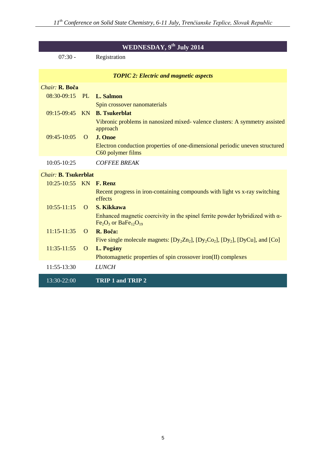| <b>WEDNESDAY, 9th July 2014</b> |              |                                                                                                                                       |
|---------------------------------|--------------|---------------------------------------------------------------------------------------------------------------------------------------|
| $07:30 -$                       |              | Registration                                                                                                                          |
|                                 |              | <b>TOPIC 2: Electric and magnetic aspects</b>                                                                                         |
| Chair: R. Boča                  |              |                                                                                                                                       |
| 08:30-09:15 PL L. Salmon        |              |                                                                                                                                       |
|                                 |              | Spin crossover nanomaterials                                                                                                          |
|                                 |              | 09:15-09:45 KN <b>B. Tsukerblat</b>                                                                                                   |
|                                 |              | Vibronic problems in nanosized mixed- valence clusters: A symmetry assisted<br>approach                                               |
| 09:45-10:05                     | $\Omega$     | J. Onoe                                                                                                                               |
|                                 |              | Electron conduction properties of one-dimensional periodic uneven structured<br>C60 polymer films                                     |
| 10:05-10:25                     |              | <b>COFFEE BREAK</b>                                                                                                                   |
| <b>Chair: B. Tsukerblat</b>     |              |                                                                                                                                       |
| 10:25-10:55 KN F. Renz          |              |                                                                                                                                       |
|                                 |              | Recent progress in iron-containing compounds with light vs x-ray switching<br>effects                                                 |
| $10:55-11:15$                   | $\Omega$     | S. Kikkawa                                                                                                                            |
|                                 |              | Enhanced magnetic coercivity in the spinel ferrite powder hybridized with $\alpha$ -<br>$Fe2O3$ or BaFe <sub>12</sub> O <sub>19</sub> |
| $11:15 - 11:35$                 | $\Omega$     | R. Boča:                                                                                                                              |
|                                 |              | Five single molecule magnets: $[Dy_2Zn_2]$ , $[Dy_2Co_2]$ , $[Dy_2]$ , $[DyCu]$ , and $[Co]$                                          |
| $11:35-11:55$                   | $\mathbf{O}$ | L. Pogány                                                                                                                             |
|                                 |              | Photomagnetic properties of spin crossover iron(II) complexes                                                                         |
| 11:55-13:30                     |              | <b>LUNCH</b>                                                                                                                          |
| 13:30-22:00                     |              | TRIP 1 and TRIP 2                                                                                                                     |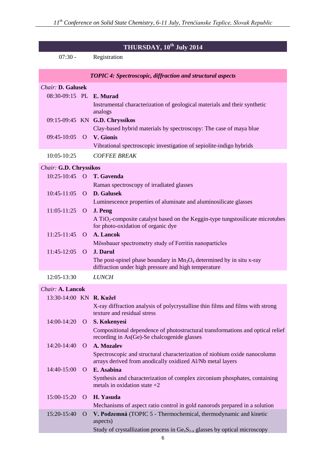| THURSDAY, 10 <sup>th</sup> July 2014 |                                                                   |                                                                                                                                         |  |
|--------------------------------------|-------------------------------------------------------------------|-----------------------------------------------------------------------------------------------------------------------------------------|--|
| $07:30 -$                            |                                                                   | Registration                                                                                                                            |  |
|                                      | <b>TOPIC 4: Spectroscopic, diffraction and structural aspects</b> |                                                                                                                                         |  |
| Chair: D. Galusek                    |                                                                   |                                                                                                                                         |  |
| 08:30-09:15 PL E. Murad              |                                                                   |                                                                                                                                         |  |
|                                      |                                                                   | Instrumental characterization of geological materials and their synthetic<br>analogs                                                    |  |
|                                      |                                                                   | 09:15-09:45 KN G.D. Chryssikos                                                                                                          |  |
| 09:45-10:05 O V. Gionis              |                                                                   | Clay-based hybrid materials by spectroscopy: The case of maya blue                                                                      |  |
|                                      |                                                                   | Vibrational spectroscopic investigation of sepiolite-indigo hybrids                                                                     |  |
| $10:05 - 10:25$                      |                                                                   | <b>COFFEE BREAK</b>                                                                                                                     |  |
| Chair: G.D. Chryssikos               |                                                                   |                                                                                                                                         |  |
|                                      |                                                                   | 10:25-10:45 O T. Gavenda                                                                                                                |  |
|                                      |                                                                   | Raman spectroscopy of irradiated glasses                                                                                                |  |
| 10:45-11:05 O D. Galusek             |                                                                   |                                                                                                                                         |  |
|                                      |                                                                   | Luminescence properties of aluminate and aluminosilicate glasses                                                                        |  |
| $11:05-11:25$ O                      |                                                                   | J. Peng                                                                                                                                 |  |
|                                      |                                                                   | A $TiO2$ -composite catalyst based on the Keggin-type tungstosilicate microtubes<br>for photo-oxidation of organic dye                  |  |
| $11:25-11:45$                        | $\Omega$                                                          | A. Lancok                                                                                                                               |  |
|                                      |                                                                   | Mössbauer spectrometry study of Ferritin nanoparticles                                                                                  |  |
| $11:45-12:05$ O                      |                                                                   | J. Darul                                                                                                                                |  |
|                                      |                                                                   | The post-spinel phase boundary in $Mn_3O_4$ determined by in situ x-ray<br>diffraction under high pressure and high temperature         |  |
| 12:05-13:30                          |                                                                   | <b>LUNCH</b>                                                                                                                            |  |
| Chair: A. Lancok                     |                                                                   |                                                                                                                                         |  |
| 13:30-14:00 KN R. Kužel              |                                                                   |                                                                                                                                         |  |
|                                      |                                                                   | X-ray diffraction analysis of polycrystalline thin films and films with strong<br>texture and residual stress                           |  |
| 14:00-14:20                          | $\mathbf{O}$                                                      | S. Kokenyesi                                                                                                                            |  |
|                                      |                                                                   | Compositional dependence of photostructural transformations and optical relief<br>recording in As(Ge)-Se chalcogenide glasses           |  |
| 14:20-14:40                          | $\Omega$                                                          | A. Mozalev                                                                                                                              |  |
|                                      |                                                                   | Spectroscopic and structural characterization of niobium oxide nanocolumn<br>arrays derived from anodically oxidized Al/Nb metal layers |  |
| 14:40-15:00                          | $\Omega$                                                          | E. Asabina                                                                                                                              |  |
|                                      |                                                                   | Synthesis and characterization of complex zirconium phosphates, containing<br>metals in oxidation state $+2$                            |  |
| 15:00-15:20                          | $\Omega$                                                          | H. Yasuda                                                                                                                               |  |
|                                      |                                                                   | Mechanisms of aspect ratio control in gold nanorods prepared in a solution                                                              |  |
| 15:20-15:40                          | $\Omega$                                                          | V. Podzemná (TOPIC 5 - Thermochemical, thermodynamic and kinetic<br>aspects)                                                            |  |
|                                      |                                                                   | Study of crystallization process in $Ge_xS_{1-x}$ glasses by optical microscopy                                                         |  |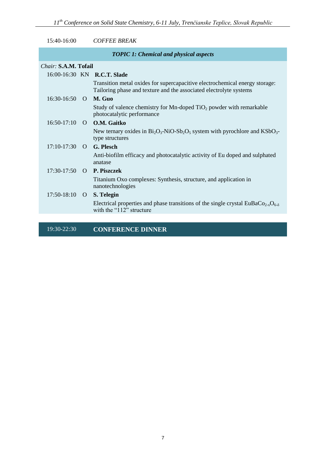| 15:40-16:00                                   |                      | <b>COFFEE BREAK</b>                                                                                                                                    |  |  |
|-----------------------------------------------|----------------------|--------------------------------------------------------------------------------------------------------------------------------------------------------|--|--|
| <b>TOPIC 1: Chemical and physical aspects</b> |                      |                                                                                                                                                        |  |  |
|                                               | Chair: S.A.M. Tofail |                                                                                                                                                        |  |  |
|                                               |                      | 16:00-16:30 KN <b>R.C.T. Slade</b>                                                                                                                     |  |  |
|                                               |                      | Transition metal oxides for supercapacitive electrochemical energy storage:<br>Tailoring phase and texture and the associated electrolyte systems      |  |  |
| $16:30-16:50$                                 | $\Omega$             | M. Guo                                                                                                                                                 |  |  |
|                                               |                      | Study of valence chemistry for Mn-doped TiO <sub>2</sub> powder with remarkable<br>photocatalytic performance                                          |  |  |
| $16:50-17:10$                                 |                      | O O.M. Gaitko                                                                                                                                          |  |  |
|                                               |                      | New ternary oxides in $Bi_2O_3$ -NiO-Sb <sub>2</sub> O <sub>5</sub> system with pyrochlore and KSbO <sub>3</sub> -<br>type structures                  |  |  |
| $17:10-17:30$ O                               |                      | G. Plesch                                                                                                                                              |  |  |
|                                               |                      | Anti-biofilm efficacy and photocatalytic activity of Eu doped and sulphated<br>anatase                                                                 |  |  |
| 17:30-17:50                                   | $\Omega$             | <b>P. Piszczek</b>                                                                                                                                     |  |  |
|                                               |                      | Titanium Oxo complexes: Synthesis, structure, and application in<br>nanotechnologies                                                                   |  |  |
| $17:50-18:10$ O                               |                      | S. Telegin                                                                                                                                             |  |  |
|                                               |                      | Electrical properties and phase transitions of the single crystal EuBaCo <sub>2-x</sub> O <sub>6-<math>\delta</math></sub><br>with the "112" structure |  |  |
|                                               |                      |                                                                                                                                                        |  |  |

19:30-22:30 **CONFERENCE DINNER**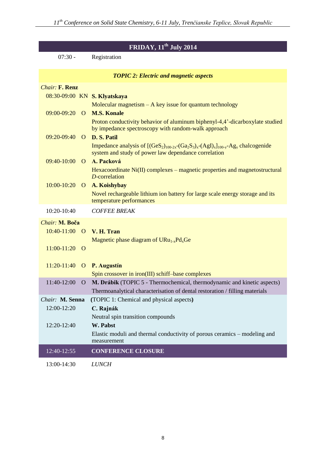| FRIDAY, $11^{\text{th}}$ July 2014 |                |                                                                                                                                                              |  |  |  |
|------------------------------------|----------------|--------------------------------------------------------------------------------------------------------------------------------------------------------------|--|--|--|
| $07:30 -$                          |                | Registration                                                                                                                                                 |  |  |  |
|                                    |                |                                                                                                                                                              |  |  |  |
|                                    |                | <b>TOPIC 2: Electric and magnetic aspects</b>                                                                                                                |  |  |  |
| <b>Chair: F. Renz</b>              |                |                                                                                                                                                              |  |  |  |
|                                    |                | 08:30-09:00 KN S. Klyatskaya                                                                                                                                 |  |  |  |
|                                    |                | Molecular magnetism $-$ A key issue for quantum technology                                                                                                   |  |  |  |
| 09:00-09:20                        | $\Omega$       | <b>M.S. Konale</b>                                                                                                                                           |  |  |  |
|                                    |                | Proton conductivity behavior of aluminum biphenyl-4,4'-dicarboxylate studied                                                                                 |  |  |  |
| 09:20-09:40                        |                | by impedance spectroscopy with random-walk approach<br>D. S. Patil                                                                                           |  |  |  |
|                                    | $\Omega$       |                                                                                                                                                              |  |  |  |
|                                    |                | Impedance analysis of $[(GeS_2)_{100-2x}-(Ga_2S_3)_x-(AgI)_x]_{100-y}$ -Ag <sub>y</sub> chalcogenide<br>system and study of power law dependance correlation |  |  |  |
| 09:40-10:00                        | $\Omega$       | A. Packová                                                                                                                                                   |  |  |  |
|                                    |                | Hexacoordinate Ni(II) complexes – magnetic properties and magnetostructural                                                                                  |  |  |  |
|                                    |                | D-correlation                                                                                                                                                |  |  |  |
| 10:00-10:20                        | $\overline{O}$ | A. Koishybay                                                                                                                                                 |  |  |  |
|                                    |                | Novel rechargeable lithium ion battery for large scale energy storage and its                                                                                |  |  |  |
|                                    |                | temperature performances                                                                                                                                     |  |  |  |
| 10:20-10:40                        |                | <b>COFFEE BREAK</b>                                                                                                                                          |  |  |  |
| Chair: M. Boča                     |                |                                                                                                                                                              |  |  |  |
| $10:40-11:00$ O                    |                | V. H. Tran                                                                                                                                                   |  |  |  |
|                                    |                | Magnetic phase diagram of $URu_{1-x}Pd_xGe$                                                                                                                  |  |  |  |
| $11:00-11:20$ O                    |                |                                                                                                                                                              |  |  |  |
|                                    |                |                                                                                                                                                              |  |  |  |
|                                    |                | 11:20-11:40 O P. Augustín                                                                                                                                    |  |  |  |
|                                    |                | Spin crossover in iron(III) schiff-base complexes                                                                                                            |  |  |  |
| 11:40-12:00                        | O              | M. Drábik (TOPIC 5 - Thermochemical, thermodynamic and kinetic aspects)                                                                                      |  |  |  |
|                                    |                | Thermoanalytical characterisation of dental restoration / filling materials                                                                                  |  |  |  |
| Chair: M. Senna                    |                | (TOPIC 1: Chemical and physical aspects)                                                                                                                     |  |  |  |
| 12:00-12:20                        |                | C. Rajnák                                                                                                                                                    |  |  |  |
|                                    |                | Neutral spin transition compounds                                                                                                                            |  |  |  |
| 12:20-12:40                        |                | W. Pabst                                                                                                                                                     |  |  |  |
|                                    |                | Elastic moduli and thermal conductivity of porous ceramics – modeling and                                                                                    |  |  |  |
|                                    |                | measurement                                                                                                                                                  |  |  |  |
| 12:40-12:55                        |                | <b>CONFERENCE CLOSURE</b>                                                                                                                                    |  |  |  |
| 13:00-14:30                        |                | <b>LUNCH</b>                                                                                                                                                 |  |  |  |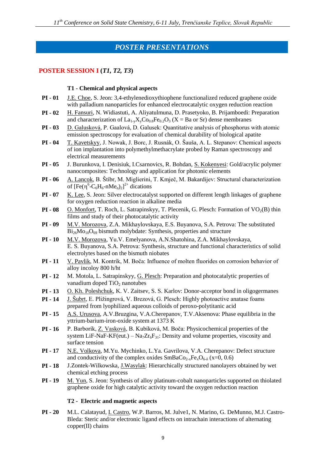### *POSTER PRESENTATIONS*

#### **POSTER SESSION I (***T1, T2, T3***)**

#### **T1 - Chemical and physical aspects**

- **PI - 01** J.E. Choe, S. Jeon: 3,4-ethylenedioxythiophene functionalized reduced graphene oxide with palladium nanoparticles for enhanced electrocatalytic oxygen reduction reaction
- **PI - 02** H. Fansuri, N. Widiastuti, A. Aliyatulmuna, D. Prasetyoko, B. Prijamboedi: Preparation and characterization of  $La_{1-y}X_vCo_{0.8}Fe_{0.2}O_3$  (X = Ba or Sr) dense membranes
- **PI - 03** D. Galusková, P. Gaalová, D. Galusek: Quantitative analysis of phosphorus with atomic emission spectroscopy for evaluation of chemical durability of biological apatite
- **PI - 04** T. Kavetskyy, J. Nowak, J. Borc, J. Rusnák, O. Šauša, A. L. Stepanov: Chemical aspects of ion implantation into polymethylmethacrylate probed by Raman spectroscopy and electrical measurements
- **PI - 05** J. Burunkova, I. Denisiuk, I.Csarnovics, R. Bohdan, S. Kokenyesi: Gold/acrylic polymer nanocomposites: Technology and application for photonic elements
- **PI - 06** A. Lancok, B. Štíbr, M. Miglierini, T. Kmječ, M. Bakardijev: Structural characterization of  $[Fe(\eta^6$ -C<sub>6</sub>H<sub>6</sub>-nMe<sub>n</sub>)<sub>2</sub>]<sup>2+</sup> dications
- **PI - 07** K. Lee, S. Jeon: Silver electrocatalyst supported on different length linkages of graphene for oxygen reduction reaction in alkaline media
- **PI 08** O. Monfort, T. Roch, L. Satrapinskyy, T. Plecenik, G. Plesch: Formation of  $VO<sub>2</sub>(B)$  thin films and study of their photocatalytic activity
- **PI - 09** M.V. Morozova, Z.A. Mikhaylovskaya, E.S. Buyanova, S.A. Petrova: The substituted  $Bi<sub>26</sub>Mo<sub>10</sub>O<sub>69</sub>$  bismuth molybdate: Synthesis, properties and structure
- **PI - 10** M.V. Morozova, Yu.V. Emelyanova, A.N.Shatohina, Z.A. Mikhaylovskaya, E. S. Buyanova, S.A. Petrova: Synthesis, structure and functional characteristics of solid electrolytes based on the bismuth niobates
- **PI - 11** V. Pavlik, M. Kontrík, M. Boča: Influence of molten fluorides on corrosion behavior of alloy incoloy 800 h/ht
- **PI - 12** M. Motola, L. Satrapinskyy, G. Plesch: Preparation and photocatalytic properties of vanadium doped  $TiO<sub>2</sub>$  nanotubes
- **PI - 13** O. Kh. Poleshchuk, K. V. Zaitsev, S. S. Karlov: Donor-acceptor bond in oligogermanes
- **PI - 14** J. Šubrt, E. Pližingrová, V. Brezová, G. Plesch: Highly photoactive anatase foams prepared from lyophilized aqueous colloids of peroxo-polytitanic acid
- **PI - 15** A.S. Urusova, A.V.Bruzgina, V.A.Cherepanov, T.V.Aksenova: Phase equilibria in the yttrium-barium-iron-oxide system at 1373 K
- **PI - 16** P. Barborík, Z. Vasková, B. Kubíková, M. Boča: Physicochemical properties of the system LiF-NaF-KF(eut.) – Na<sub>7</sub> $Zr_6F_{31}$ : Density and volume properties, viscosity and surface tension
- **PI - 17** N.E. Volkova, M.Yu. Mychinko, L.Ya. Gavrilova, V.A. Cherepanov: Defect structure and conductivity of the complex oxides  $SmBaCo_{2-x}Fe_{x}O_{6-\delta}$  (x=0, 0.6)
- **PI - 18** J.Zontek-Wilkowska, J.Wasylak: Hierarchically structured nanolayers obtained by wet chemical etching process
- **PI - 19** M. Yun, S. Jeon: Synthesis of alloy platinum-cobalt nanoparticles supported on thiolated graphene oxide for high catalytic activity toward the oxygen reduction reaction

#### **T2 - Electric and magnetic aspects**

**PI - 20** M.L. Calatayud, I. Castro, W.P. Barros, M. Julve1, N. Marino, G. DeMunno, M.J. Castro-Bleda: Steric and/or electronic ligand effects on intrachain interactions of alternating copper(II) chains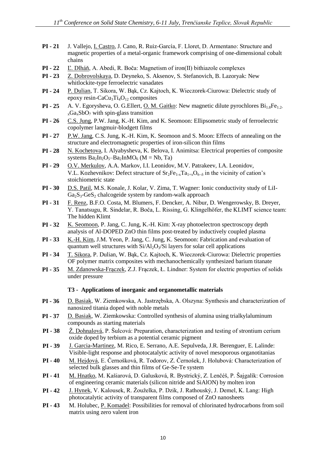- **PI - 21** J. Vallejo, I. Castro, J. Cano, R. Ruiz-García, F. Lloret, D. Armentano: Structure and magnetic properties of a metal-organic framework comprising of one-dimensional cobalt chains
- **PI - 22** Ľ. Dlháň, A. Abedi, R. Boča: Magnetism of iron(II) bithiazole complexes
- **PI - 23** Z. Dobrovolskaya, D. Deyneko, S. Aksenov, S. Stefanovich, B. Lazoryak: New whitlockite-type ferroelectric vanadates
- **PI - 24** P. Dulian, T. Sikora, W. Bąk, Cz. Kajtoch, K. Wieczorek-Ciurowa: Dielectric study of epoxy resin-CaCu<sub>3</sub>Ti<sub>4</sub>O<sub>12</sub> composites
- **PI 25** A. V. Egorysheva, O. G.Ellert, <u>O. M. Gaitko</u>: New magnetic dilute pyrochlores Bi<sub>1.8</sub>Fe<sub>1.2-</sub>  $_{x}Ga_{x}SbO_{7}$  with spin-glass transition
- **PI - 26** C.S. Jung, P.W. Jang, K.-H. Kim, and K. Seomoon: Ellipsometric study of ferroelectric copolymer langmuir-blodgett films
- **PI - 27** P.W. Jang, C.S. Jung, K.-H. Kim, K. Seomoon and S. Moon: Effects of annealing on the structure and electromagnetic properties of iron-silicon thin films
- **PI - 28** N. Kochetova, I. Alyabysheva, K. Belova, I. Animitsa: Electrical properties of composite systems  $Ba_2In_2O_5-Ba_2InMO_6$  (M = Nb, Ta)
- **PI - 29** O.V. Merkulov, A.A. Markov, I.I. Leonidov, M.V. Patrakeev, I.A. Leonidov, V.L. Kozhevnikov: Defect structure of  $Sr_2Fe_{1-x}Ta_{1+x}O_{6-x}$  in the vicinity of cation's stoichiometric state
- **PI - 30** D.S. Patil, M.S. Konale, J. Kolar, V. Zima, T. Wagner: Ionic conductivity study of LiI- $Ga<sub>2</sub>S<sub>3</sub> - GeS<sub>2</sub>$  chalcogeide system by random-walk approach
- **PI - 31** F. Renz, B.F.O. Costa, M. Blumers, F. Dencker, A. Nibur, D. Wengerowsky, B. Dreyer, Y. Tanatsugu, R. Sindelar, R. Boča, L. Rissing, G. Klingelhöfer, the KLIMT science team: The hidden Klimt
- **PI - 32** K. Seomoon, P. Jang, C. Jung, K.-H. Kim: X-ray photoelectron spectroscopy depth analysis of Al-DOPED ZnO thin films post-treated by inductively coupled plasma
- **PI - 33** K.-H. Kim, J.M. Yeon, P. Jang, C. Jung, K. Seomoon: Fabrication and evaluation of quantum well structures with  $Si/Al<sub>2</sub>O<sub>3</sub>/Si$  layers for solar cell applications
- **PI - 34** T. Sikora, P. Dulian, W. Bąk, Cz. Kajtoch, K. Wieczorek-Ciurowa: Dielectric properties OF polymer matrix composites with mechanochemically synthesized barium titanate
- **PI - 35** M. Zdanowska-Frączek, Z.J. Frączek, Ł. Lindner: System for electric properties of solids under pressure

#### **T3 - Applications of inorganic and organometallic materials**

- **PI - 36** D. Basiak, W. Ziemkowska, A. Jastrzębska, A. Olszyna: Synthesis and characterization of nanosized titania doped with noble metals
- **PI - 37** D. Basiak, W. Ziemkowska: Controlled synthesis of alumina using trialkylaluminum compounds as starting materials
- **PI - 38** Ž. Dohnalová, P. Šulcová: Preparation, characterization and testing of strontium cerium oxide doped by terbium as a potential ceramic pigment
- **PI - 39** J. Garcia-Martinez, M. Rico, E. Serrano, A.E. Sepulveda, J.R. Berenguer, E. Lalinde: Visible-light response and photocatalytic activity of novel mesoporous organotitanias
- **PI - 40** M. Hejdová, E. Černošková, R. Todorov, Z. Černošek, J. Holubová: Characterization of selected bulk glasses and thin films of Ge-Se-Te system
- **PI - 41** M. Hnatko, M. Kašiarová, D. Galusková, R. Bystrický, Z. Lenčéš, P. Šajgalík: Corrosion of engineering ceramic materials (silicon nitride and SiAlON) by molten iron
- **PI - 42** J. Hynek, V. Kalousek, R. Žouželka, P. Dzik, J. Rathouský, J. Demel, K. Lang: High photocatalytic activity of transparent films composed of ZnO nanosheets
- **PI - 43** M. Holubec, P. Komadel: Possibilities for removal of chlorinated hydrocarbons from soil matrix using zero valent iron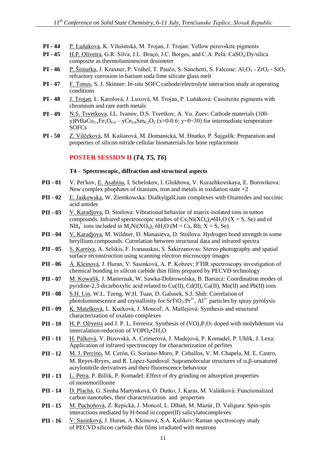- **PI - 44** P. Luňáková, K. Vilušinská, M. Trojan, J. Trojan: Yellow perovskite pigments
- **PI 45** H.P. Oliveira, G.R. Silva, J.L. Bruçó, J.C. Borges, and C.A. Pelá: CaSO<sub>4</sub>:Dy/silica composite as thermoluminescent dosimeter
- **PI 46** P. Šimurka, J. Kraxner, P. Vrábel, T. Paučo, S. Sanchetti, S. Falcone: Al<sub>2</sub>O<sub>3</sub> ZrO<sub>2</sub> SiO<sub>2</sub> refractory corrosion in barium soda lime silicate glass melt
- **PI - 47** F. Tonus, S. J. Skinner: *In-situ* SOFC cathode/electrolyte interaction study at operating conditions
- **PI - 48** J. Trojan, L. Karolová, J. Luxová, M. Trojan, P. Luňáková: Cassiterite pigments with chromium and rare earth metals
- **PI - 49** N.S. Tsvetkova, I.L. Ivanov, D.S. Tsvetkov, A. Yu. Zuev: Cathode materials (100 y)PrBaCo<sub>2-x</sub>Fe<sub>x</sub>O<sub>6- $\delta$ </sub> – yCe<sub>0.8</sub>Sm<sub>0.2</sub>O<sub>2</sub> (x=0-0.6; y=0÷30) for intermediate temperature **SOFCs**
- **PI - 50** Z. Vilčeková, M. Kašiarová, M. Domanická, M. Hnatko, P. Šajgalík: Preparation and properties of silicon nitride cellular biomaterials for bone replacement

#### **POSTER SESSION II (***T4, T5, T6***)**

#### **T4 - Spectroscopic, diffraction and structural aspects**

- **PII - 01** V. Pet'kov, E. Asabina, I. Schelokov, I. Glukhova, V. Kurazhkovskaya, E. Borovikova: New complex phophates of titanium, iron and metals in oxidation state  $+2$
- **PII - 02** E. Jaśkowska, W. Ziemkowska: DialkylgalLium complexes with Oxamides and succinic acid amides
- **PII - 03** V. Karadjova, D. Stoilova: Vibrational behavior of matrix-isolated ions in tutton compounds. Infrared spectroscopic studies of  $Cs_2Ni(XO_4)_2·6H_2O$  (X = S. Se) and of NH<sub>4</sub><sup>+</sup> ions included in M<sub>2</sub>Ni(XO<sub>4</sub>)<sub>2</sub>⋅6H<sub>2</sub>O (M = Cs, Rb; X = S, Se)
- **PII - 04** V. Karadjova, M. Wildner, D. Manasieva, D. Stoilova: Hydrogen bond strength in some beryllium compounds. Correlation between structural data and infrared spectra
- **PII - 05** S. Kareiva, A. Selskis, F. Ivanauskas, S. Šakirzanovas: Stereo photography and spatial surface reconstruction using scanning electron microscopy images
- **PII - 06** A. Kleinová, J. Huran, V. Sasinková, A. P. Kobzev: FTIR spectroscopy investigation of chemical bonding in silicon carbide thin films prepared by PECVD technology
- **PII - 07** M. Kowalik, J. Masternak, W. Sawka-Dobrowolska, B. Barszcz: Coordination modes of pyridine-2,3-dicarboxylic acid related to  $Cu(II)$ ,  $Cd(II)$ ,  $Ca(II)$ ,  $Mn(II)$  and  $Pb(II)$  ions
- **PII - 08** S.H. Lin, W.L. Tzeng, W.H. Tuan, D. Galusek, S.J. Shih: Correlation of photoluminescence and crystallinity for  $SrTiO<sub>3</sub>: Pr<sup>3+</sup>, Al<sup>3+</sup>$  particles by spray pyrolysis
- **PII - 09** K. Matelková, L. Kucková, J. Moncoľ, A. Mašlejová: Synthesis and structural characterization of oxalato complexes
- **PII -** 10 H. P. Oliveira and J. P. L. Ferreira: Synthesis of  $(VO)_2P_2O_7$  doped with molybdenum via intercalation-reduction of  $VOPO<sub>4</sub>•2H<sub>2</sub>O$
- **PII - 11** H. Pálková, V. Bizovská, A. Czímerová, J. Madejová, P. Komadel, P. Uhlík, J. Lexa: Application of infrared spectroscopy for characterization of perlites
- **PII - 12** M. J. Percino, M. Cerón, G. Soriano-Moro, P. Ceballos, V. M. Chapela, M. E. Castro, M. Reyes-Reyes, and R. López-Sandoval: Supramolecular structures of  $\alpha$ ,  $\beta$ -unsatured acrylonitrile derivatives and their fluorescence behaviour
- **PII - 13** L. Petra, P. Billik, P. Komadel: Effect of dry grinding on adsorption properties of montmorillonite
- **PII - 14** D. Plachá, G. Simha Martynková, O. Dutko, J. Karas, M. Valášková: Functionalized carbon nanotubes, their characterization and properties
- **PII - 15** M. Puchoňová, Z. Repická, J. Moncol, L. Dlháň, M. Mazúr, D. Valigura: Spin-spin interactions mediated by H-bond in copper(II) salicylatocomplexes
- **PII - 16** V. Sasinková, J. Huran, A. Kleinová, S.A. Kulikov: Raman spectroscopy study of PECVD silicon carbide thin films irradiated with neutrons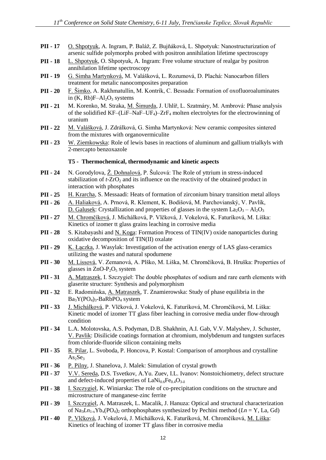- **PII - 17** O. Shpotyuk, A. Ingram, P. Baláž, Z. Bujňáková, L. Shpotyuk: Nanostructurization of arsenic sulfide polymorphs probed with positron annihilation lifetime spectroscopy
- **PII - 18** L. Shpotyuk, O. Shpotyuk, A. Ingram: Free volume structure of realgar by positron annihilation lifetime spectroscopy
- **PII - 19** G. Simha Martynková, M. Valášková, L. Rozumová, D. Plachá: Nanocarbon fillers treatment for metalic nanocomposites preparation
- **PII - 20** F. Šimko, A. Rakhmatullin, M. Kontrík, C. Bessada: Formation of oxofluoroaluminates in  $(K, Rb)F–A1<sub>2</sub>O<sub>3</sub>$  systems
- **PII - 21** M. Korenko, M. Straka, M. Šimurda, J. Uhlíř, L. Szatmáry, M. Ambrová: Phase analysis of the solidified KF–(LiF–NaF–UF<sub>4</sub>)– $ZrF_4$  molten electrolytes for the electrowinning of uranium
- **PII - 22** M. Valášková, J. Zdrálková, G. Simha Martynková: New ceramic composites sintered from the mixtures with organovermiculite
- **PII - 23** W. Ziemkowska: Role of lewis bases in reactions of aluminum and gallium trialkyls with 2-mercapto benzoxazole

#### **T5 - Thermochemical, thermodynamic and kinetic aspects**

- **PII - 24** N. Gorodylova, Ž. Dohnalová, P. Šulcová: The Role of yttrium in stress-induced stabilization of  $t$ -ZrO<sub>2</sub> and its influence on the reactivity of the obtained product in interaction with phosphates
- **PII - 25** H. Krarcha, S. Messaadi: Heats of formation of zirconium binary transition metal alloys
- **PII - 26** A. Haliaková, A. Prnová, R. Klement, K. Bodišová, M. Parchovianský, V. Pavlík, D. Galusek: Crystallization and properties of glasses in the system  $La_2O_3 - Al_2O_3$
- **PII - 27** M. Chromčíková, J. Michálková, P. Vlčková, J. Vokelová, K. Faturíková, M. Liška: Kinetics of izomer tt glass grains leaching in corrosive media
- **PII 28** S. Kitabayashi and <u>N. Koga</u>: Formation Process of TIN(IV) oxide nanoparticles during oxidative decomposition of TIN(II) oxalate
- **PII 29** K. Łączka, J. Wasylak: Investigation of the activation energy of LAS glass-ceramics utilizing the wastes and natural spodumene
- **PII - 30** M. Lissová, V. Zemanová, A. Plško, M. Liška, M. Chromčíková, B. Hruška: Properties of glasses in  $ZnO-P_2O_5$  system
- **PII - 31** A. Matraszek, I. Szczygieł: The double phosphates of sodium and rare earth elements with glaserite structure: Synthesis and polymorphism
- **PII - 32** E. Radomińska, A. Matraszek, T. Znamierowska: Study of phase equilibria in the  $Ba_3Y(PO_4)_3-BaRbPO_4$  system
- **PII - 33** J. Michálková, P. Vlčková, J. Vokelová, K. Faturíková, M. Chromčíková, M. Liška: Kinetic model of izomer TT glass fiber leaching in corrosive media under flow-through condition
- **PII - 34** L.A. Molotovska, A.S. Podyman, D.B. Shakhnin, A.I. Gab, V.V. Malyshev, J. Schuster, V. Pavlik: Disilicide coatings formation at chromium, molybdenum and tungsten surfaces from chloride-fluoride silicon containing melts
- **PII - 35** R. Pilar, L. Svoboda, P. Honcova, P. Kostal: Comparison of amorphous and crystalline  $As<sub>2</sub>Se<sub>3</sub>$
- **PII 36** P. Pilny, J. Shanelova, J. Malek: Simulation of crystal growth
- **PII - 37** V.V. Sereda, D.S. Tsvetkov, A.Yu. Zuev, I.L. Ivanov: Nonstoichiometry, defect structure and defect-induced properties of  $\text{LANi}_{0.6}\text{Fe}_{0.4}\text{O}_{3.5}$
- **PII - 38** I. Szczygieł, K. Winiarska: The role of co-precipitation conditions on the structure and microstructure of manganese-zinc ferrite
- **PII - 39** I. Szczygieł, A. Matraszek, L. Macalik, J. Hanuza: Optical and structural characterization of Na<sub>3</sub> $Ln_{1-x}Yb_x(PO_4)_2$  orthophosphates synthesized by Pechini method ( $Ln = Y$ , La, Gd)
- **PII - 40** P. Vlčková, J. Vokelová, J. Michálková, K. Faturíková, M. Chromčíková, M. Liška: Kinetics of leaching of izomer TT glass fiber in corrosive media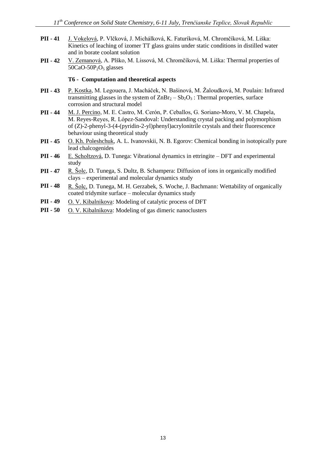- **PII - 41** J. Vokelová, P. Vlčková, J. Michálková, K. Faturíková, M. Chromčíková, M. Liška: Kinetics of leaching of izomer TT glass grains under static conditions in distilled water and in borate coolant solution
- **PII - 42** V. Zemanová, A. Plško, M. Lissová, M. Chromčíková, M. Liška: Thermal properties of  $50CaO-50P<sub>2</sub>O<sub>5</sub>$  glasses

#### **T6 - Computation and theoretical aspects**

- **PII - 43** P. Kostka, M. Legouera, J. Macháček, N. Bašinová, M. Žaloudková, M. Poulain: Infrared transmitting glasses in the system of  $ZnBr_2 - Sb_2O_3$ : Thermal properties, surface corrosion and structural model
- **PII - 44** M. J. Percino, M. E. Castro, M. Cerón, P. Ceballos, G. Soriano-Moro, V. M. Chapela, M. Reyes-Reyes, R. López-Sandoval: Understanding crystal packing and polymorphism of (Z)-2-phenyl-3-(4-(pyridin-2-yl)phenyl)acrylonitrile crystals and their fluorescence behaviour using theoretical study
- **PII 45** O. Kh. Poleshchuk, A. L. Ivanovskii, N. B. Egorov: Chemical bonding in isotopically pure lead chalcogenides
- **PII - 46** E. Scholtzová, D. Tunega: Vibrational dynamics in ettringite DFT and experimental study
- **PII - 47** R. Šolc, D. Tunega, S. Dultz, B. Schampera: Diffusion of ions in organically modified clays – experimental and molecular dynamics study
- **PII - 48** R. Šolc, D. Tunega, M. H. Gerzabek, S. Woche, J. Bachmann: Wettability of organically coated tridymite surface – molecular dynamics study
- **PII - 49** O. V. Kibalnikova: Modeling of catalytic process of DFT
- **PII 50** O. V. Kibalnikova: Modeling of gas dimeric nanoclusters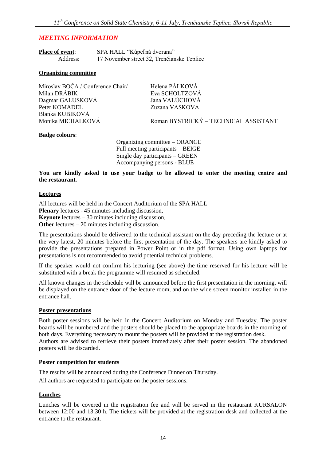#### *MEETING INFORMATION*

| <b>Place of event:</b> | SPA HALL "Kúpeľná dvorana"                 |  |
|------------------------|--------------------------------------------|--|
| Address:               | 17 November street 32, Trenčianske Teplice |  |

#### **Organizing committee**

| Miroslav BOČA / Conference Chair/ | Helena PÁLKOVÁ                        |
|-----------------------------------|---------------------------------------|
| Milan DRÁBIK                      | Eva SCHOLTZOVÁ                        |
| Dagmar GALUSKOVÁ                  | Jana VALÚCHOVÁ                        |
| Peter KOMADEL                     | Zuzana VASKOVÁ                        |
| Blanka KUBÍKOVÁ                   |                                       |
| Monika MICHALKOVÁ                 | Roman BYSTRICKÝ – TECHNICAL ASSISTANT |
|                                   |                                       |

#### **Badge colours**:

Organizing committee – ORANGE Full meeting participants – BEIGE Single day participants – GREEN Accompanying persons - BLUE

**You are kindly asked to use your badge to be allowed to enter the meeting centre and the restaurant.**

#### **Lectures**

All lectures will be held in the Concert Auditorium of the SPA HALL **Plenary** lectures - 45 minutes including discussion, **Keynote** lectures – 30 minutes including discussion, **Other** lectures – 20 minutes including discussion.

The presentations should be delivered to the technical assistant on the day preceding the lecture or at the very latest, 20 minutes before the first presentation of the day. The speakers are kindly asked to provide the presentations prepared in Power Point or in the pdf format. Using own laptops for presentations is not recommended to avoid potential technical problems.

If the speaker would not confirm his lecturing (see above) the time reserved for his lecture will be substituted with a break the programme will resumed as scheduled.

All known changes in the schedule will be announced before the first presentation in the morning, will be displayed on the entrance door of the lecture room, and on the wide screen monitor installed in the entrance hall.

#### **Poster presentations**

Both poster sessions will be held in the Concert Auditorium on Monday and Tuesday. The poster boards will be numbered and the posters should be placed to the appropriate boards in the morning of both days. Everything necessary to mount the posters will be provided at the registration desk. Authors are advised to retrieve their posters immediately after their poster session. The abandoned posters will be discarded.

#### **Poster competition for students**

The results will be announced during the Conference Dinner on Thursday.

All authors are requested to participate on the poster sessions.

#### **Lunches**

Lunches will be covered in the registration fee and will be served in the restaurant KURSALON between 12:00 and 13:30 h. The tickets will be provided at the registration desk and collected at the entrance to the restaurant.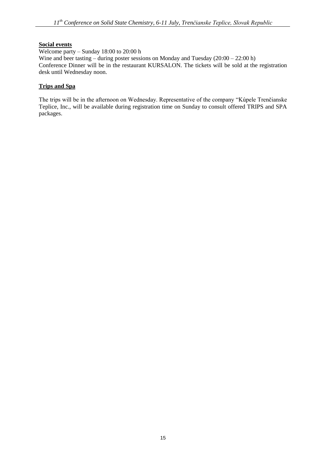#### **Social events**

Welcome party – Sunday 18:00 to 20:00 h Wine and beer tasting – during poster sessions on Monday and Tuesday (20:00 – 22:00 h) Conference Dinner will be in the restaurant KURSALON. The tickets will be sold at the registration desk until Wednesday noon.

#### **Trips and Spa**

The trips will be in the afternoon on Wednesday. Representative of the company "Kúpele Trenčianske Teplice, Inc., will be available during registration time on Sunday to consult offered TRIPS and SPA packages.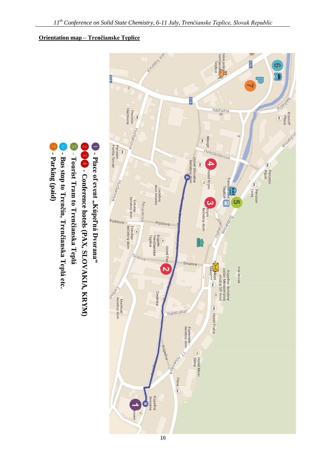## **Orientation map – Trenčianske Teplice**





**Place of event "Kúpeľná Dvorana"**

- **- Bus stop to Trenčín, Trenčianska Teplá etc.**
- ❼ - Parking (paid) **Parking (paid)**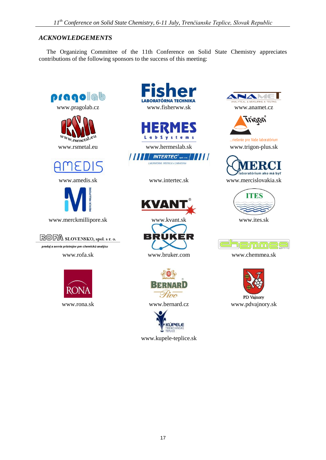#### *ACKNOWLEDGEMENTS*

The Organizing Committee of the 11th Conference on Solid State Chemistry appreciates contributions of the following sponsors to the success of this meeting:





**THE INTERTEC<sup>®</sup>www.** | | | | |







www.kupele-teplice.sk



PD Vajnory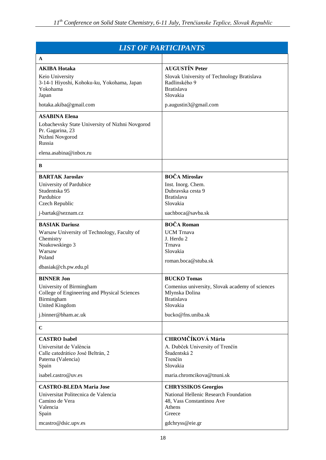| <b>LIST OF PARTICIPANTS</b>                                                                                                                     |                                                                                                                                                |  |  |  |
|-------------------------------------------------------------------------------------------------------------------------------------------------|------------------------------------------------------------------------------------------------------------------------------------------------|--|--|--|
| A                                                                                                                                               |                                                                                                                                                |  |  |  |
| <b>AKIBA Hotaka</b><br>Keio University<br>3-14-1 Hiyoshi, Kohoku-ku, Yokohama, Japan<br>Yokohama<br>Japan<br>hotaka.akiba@gmail.com             | <b>AUGUSTIN Peter</b><br>Slovak University of Technology Bratislava<br>Radlinského 9<br><b>Bratislava</b><br>Slovakia<br>p.augustin3@gmail.com |  |  |  |
|                                                                                                                                                 |                                                                                                                                                |  |  |  |
| <b>ASABINA Elena</b><br>Lobachevsky State University of Nizhni Novgorod<br>Pr. Gagarina, 23<br>Nizhni Novgorod<br>Russia                        |                                                                                                                                                |  |  |  |
| elena.asabina@inbox.ru                                                                                                                          |                                                                                                                                                |  |  |  |
| B                                                                                                                                               |                                                                                                                                                |  |  |  |
| <b>BARTAK Jaroslav</b><br>University of Pardubice<br>Studentska 95<br>Pardubice<br>Czech Republic                                               | <b>BOČA Miroslav</b><br>Inst. Inorg. Chem.<br>Dubravska cesta 9<br><b>Bratislava</b><br>Slovakia                                               |  |  |  |
| j-bartak@seznam.cz                                                                                                                              | uachboca@savba.sk                                                                                                                              |  |  |  |
| <b>BASIAK Dariusz</b><br>Warsaw University of Technology, Faculty of<br>Chemistry<br>Noakowskiego 3<br>Warsaw<br>Poland<br>dbasiak@ch.pw.edu.pl | <b>BOČA Roman</b><br><b>UCM</b> Trnava<br>J. Herdu 2<br>Trnava<br>Slovakia<br>roman.boca@stuba.sk                                              |  |  |  |
| <b>BINNER Jon</b>                                                                                                                               | <b>BUCKO Tomas</b>                                                                                                                             |  |  |  |
| University of Birmingham<br>College of Engineering and Physical Sciences<br>Birmingham<br><b>United Kingdom</b>                                 | Comenius university, Slovak academy of sciences<br>Mlynska Dolina<br><b>Bratislava</b><br>Slovakia                                             |  |  |  |
| j.binner@bham.ac.uk                                                                                                                             | bucko@fns.uniba.sk                                                                                                                             |  |  |  |
| $\mathbf C$                                                                                                                                     |                                                                                                                                                |  |  |  |
| <b>CASTRO</b> Isabel<br>Universitat de València<br>Calle catedrático José Beltrán, 2<br>Paterna (Valencia)<br>Spain                             | <b>CHROMČÍKOVÁ Mária</b><br>A. Dubček University of Trenčín<br>Študentská 2<br>Trenčín<br>Slovakia                                             |  |  |  |
| isabel.castro@uv.es                                                                                                                             | maria.chromcikova@tnuni.sk                                                                                                                     |  |  |  |
| <b>CASTRO-BLEDA Maria Jose</b><br>Universitat Politecnica de Valencia<br>Camino de Vera<br>Valencia<br>Spain<br>mcastro@dsic.upv.es             | <b>CHRYSSIKOS Georgios</b><br>National Hellenic Research Foundation<br>48, Vass Constantinou Ave<br>Athens<br>Greece<br>gdchryss@eie.gr        |  |  |  |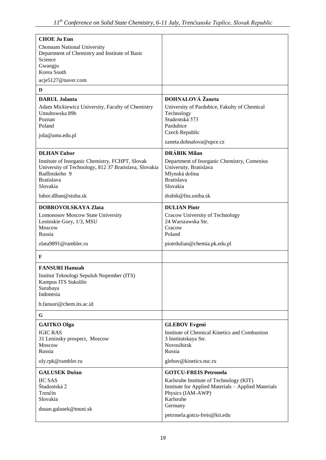| <b>CHOE Ju Eun</b><br>Chonnam National University<br>Department of Chemistry and Institute of Basic<br>Science<br>Gwangju<br>Korea South<br>acje5127@naver.com |                                                                                                                                                                             |
|----------------------------------------------------------------------------------------------------------------------------------------------------------------|-----------------------------------------------------------------------------------------------------------------------------------------------------------------------------|
| D                                                                                                                                                              |                                                                                                                                                                             |
| <b>DARUL Jolanta</b>                                                                                                                                           | <b>DOHNALOVÁ</b> Žaneta                                                                                                                                                     |
| Adam Mickiewicz University, Faculty of Chemistry<br>Umultowska 89b<br>Poznan<br>Poland<br>jola@amu.edu.pl                                                      | University of Pardubice, Fakulty of Chemical<br>Technology<br>Studentská 573<br>Pardubice<br>Czech Republic                                                                 |
|                                                                                                                                                                | zaneta.dohnalova@upce.cz                                                                                                                                                    |
| <b>DLHAN</b> Lubor                                                                                                                                             | <b>DRÁBIK Milan</b>                                                                                                                                                         |
| Institute of Inorganic Chemistry, FCHPT, Slovak<br>University of Technology, 812 37 Bratislava, Slovakia<br>Radlinskeho 9<br><b>Bratislava</b><br>Slovakia     | Department of Inorganic Chemistry, Comenius<br>University, Bratislava<br>Mlynská dolina<br><b>Bratislava</b><br>Slovakia                                                    |
| lubor.dlhan@stuba.sk                                                                                                                                           | drabik@fns.uniba.sk                                                                                                                                                         |
| <b>DOBROVOLSKAYA Zlata</b>                                                                                                                                     | <b>DULIAN Piotr</b>                                                                                                                                                         |
| <b>Lomonosov Moscow State University</b><br>Leninskie Gory, 1/3, MSU<br>Moscow<br>Russia                                                                       | Cracow University of Technology<br>24 Warszawska Str.<br>Cracow<br>Poland                                                                                                   |
| zlata9891@rambler.ru                                                                                                                                           | piotrdulian@chemia.pk.edu.pl                                                                                                                                                |
| F                                                                                                                                                              |                                                                                                                                                                             |
| <b>FANSURI Hamzah</b><br>Institut Teknologi Sepuluh Nopember (ITS)<br>Kampus ITS Sukolilo<br>Surabaya<br>Indonesia                                             |                                                                                                                                                                             |
| h.fansuri@chem.its.ac.id                                                                                                                                       |                                                                                                                                                                             |
| G                                                                                                                                                              |                                                                                                                                                                             |
| <b>GAITKO</b> Olga<br><b>IGIC RAS</b><br>31 Leninsky prospect, Moscow<br>Moscow<br>Russia<br>oly.rpk@rambler.ru                                                | <b>GLEBOV Evgeni</b><br>Institute of Chemical Kinetics and Combustion<br>3 Institutskaya Str.<br>Novosibirsk<br>Russia<br>glebov@kinetics.nsc.ru                            |
| <b>GALUSEK Dušan</b>                                                                                                                                           |                                                                                                                                                                             |
| <b>IIC SAS</b><br>Študentská 2<br>Trenčín<br>Slovakia<br>dusan.galusek@tnuni.sk                                                                                | <b>GOTCU-FREIS Petronela</b><br>Karlsruhe Institute of Technology (KIT)<br>Institute for Applied Materials - Applied Materials<br>Physics (IAM-AWP)<br>Karlsruhe<br>Germany |
|                                                                                                                                                                | petronela.gotcu-freis@kit.edu                                                                                                                                               |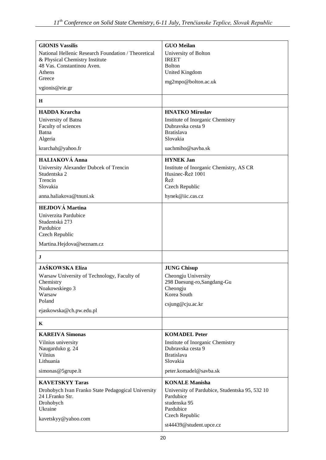| <b>GIONIS Vassilis</b>                                   | <b>GUO Meilan</b>                              |
|----------------------------------------------------------|------------------------------------------------|
| National Hellenic Research Foundation / Theoretical      | University of Bolton                           |
| & Physical Chemistry Institute                           | <b>IREET</b>                                   |
| 48 Vas. Constantinou Aven.                               | <b>Bolton</b>                                  |
| Athens                                                   | <b>United Kingdom</b>                          |
| Greece                                                   | mg2mpo@bolton.ac.uk                            |
| vgionis@eie.gr                                           |                                                |
| H                                                        |                                                |
| <b>HADDA Krarcha</b>                                     | <b>HNATKO Miroslav</b>                         |
| University of Batna                                      | Institute of Inorganic Chemistry               |
| Faculty of sciences                                      | Dubravska cesta 9                              |
| Batna                                                    | <b>Bratislava</b><br>Slovakia                  |
| Algeria                                                  |                                                |
| krarchah@yahoo.fr                                        | uachmiho@savba.sk                              |
| <b>HALIAKOVÁ Anna</b>                                    | <b>HYNEK Jan</b>                               |
| University Alexander Dubcek of Trencin                   | Institute of Inorganic Chemistry, AS CR        |
| Studentska 2<br>Trencin                                  | Husinec-Řež 1001<br>Řež                        |
| Slovakia                                                 | Czech Republic                                 |
| anna.haliakova@tnuni.sk                                  | hynek@iic.cas.cz                               |
|                                                          |                                                |
| <b>HEJDOVÁ Martina</b>                                   |                                                |
| Univerzita Pardubice                                     |                                                |
| Studentská 273<br>Pardubice                              |                                                |
| Czech Republic                                           |                                                |
| Martina.Hejdova@seznam.cz                                |                                                |
| $\bf J$                                                  |                                                |
| <b>JAŚKOWSKA Eliza</b>                                   |                                                |
|                                                          | <b>JUNG Chisup</b>                             |
| Warsaw University of Technology, Faculty of<br>Chemistry | Cheongju University                            |
| Noakowskiego 3                                           | 298 Daesung-ro, Sangdang-Gu<br>Cheongju        |
| Warsaw                                                   | Korea South                                    |
| Poland                                                   |                                                |
| ejaskowska@ch.pw.edu.pl                                  | csjung@cju.ac.kr                               |
| K                                                        |                                                |
| <b>KAREIVA Simonas</b>                                   | <b>KOMADEL Peter</b>                           |
| Vilnius university                                       | Institute of Inorganic Chemistry               |
| Naugarduko g. 24                                         | Dubravska cesta 9                              |
| Vilnius                                                  | <b>Bratislava</b>                              |
| Lithuania                                                | Slovakia                                       |
| simonas@5grupe.lt                                        | peter.komadel@savba.sk                         |
| <b>KAVETSKYY Taras</b>                                   | <b>KONALE Manisha</b>                          |
| Drohobych Ivan Franko State Pedagogical University       | University of Pardubice, Studentska 95, 532 10 |
| 24 I.Franko Str.                                         | Pardubice                                      |
| Drohobych                                                | studenska 95                                   |
| Ukraine                                                  | Pardubice                                      |
| kavetskyy@yahoo.com                                      | Czech Republic                                 |
|                                                          | st44439@student.upce.cz                        |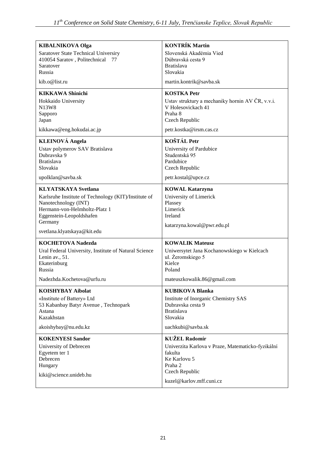| <b>KIBALNIKOVA Olga</b>                               | <b>KONTRÍK Martin</b>                             |
|-------------------------------------------------------|---------------------------------------------------|
| Saratover State Technical Universiry                  | Slovenská Akadémia Vied                           |
| 410054 Saratov, Politechnical<br>77                   | Dúbravská cesta 9                                 |
| Saratover                                             | <b>Bratislava</b>                                 |
| Russia                                                | Slovakia                                          |
| kib.o@list.ru                                         | martin.kontrik@savba.sk                           |
| <b>KIKKAWA Shinichi</b>                               | <b>KOSTKA Petr</b>                                |
| Hokkaido University                                   | Ustav struktury a mechaniky hornin AV ČR, v.v.i.  |
| N13W8                                                 | V Holesovickach 41                                |
| Sapporo<br>Japan                                      | Praha 8<br>Czech Republic                         |
|                                                       |                                                   |
| kikkawa@eng.hokudai.ac.jp                             | petr.kostka@irsm.cas.cz                           |
| <b>KLEINOVÁ Angela</b>                                | <b>KOŠTÁL Petr</b>                                |
| Ustav polymerov SAV Bratislava                        | University of Pardubice                           |
| Dubravska 9<br><b>Bratislava</b>                      | Studentská 95<br>Pardubice                        |
| Slovakia                                              | Czech Republic                                    |
| upolklan@savba.sk                                     | petr.kostal@upce.cz                               |
| <b>KLYATSKAYA Svetlana</b>                            | <b>KOWAL Katarzyna</b>                            |
| Karlsruhe Institute of Technology (KIT)/Institute of  | University of Limerick                            |
| Nanotechnology (INT)                                  | Plassey                                           |
| Hermann-von-Helmholtz-Platz 1                         | Limerick                                          |
| Eggenstein-Leopoldshafen                              | Ireland                                           |
| Germany                                               | katarzyna.kowal@pwr.edu.pl                        |
| svetlana.klyatskaya@kit.edu                           |                                                   |
| <b>KOCHETOVA Nadezda</b>                              | <b>KOWALIK Mateusz</b>                            |
| Ural Federal University, Institute of Natural Science | Uniwersytet Jana Kochanowskiego w Kielcach        |
| Lenin av., 51.                                        | ul. Żeromskiego 5                                 |
| Ekaterinburg<br>Russia                                | Kielce<br>Poland                                  |
|                                                       |                                                   |
| Nadezhda.Kochetova@urfu.ru                            | mateuszkowalik.86@gmail.com                       |
| <b>KOISHYBAY Aibolat</b>                              | <b>KUBIKOVA Blanka</b>                            |
| «Institute of Battery» Ltd                            | Institute of Inorganic Chemistry SAS              |
| 53 Kabanbay Batyr Avenue, Technopark<br>Astana        | Dubravska cesta 9<br><b>Bratislava</b>            |
| Kazakhstan                                            | Slovakia                                          |
| akoishybay@nu.edu.kz                                  | uachkubi@savba.sk                                 |
| <b>KOKENYESI Sandor</b>                               | <b>KUŽEL Radomír</b>                              |
| University of Debrecen                                | Univerzita Karlova v Praze, Matematicko-fyzikální |
| Egyetem ter 1                                         | fakulta                                           |
| Debrecen                                              | Ke Karlovu 5                                      |
| Hungary                                               | Praha 2                                           |
| kiki@science.unideb.hu                                | Czech Republic                                    |
|                                                       | kuzel@karlov.mff.cuni.cz                          |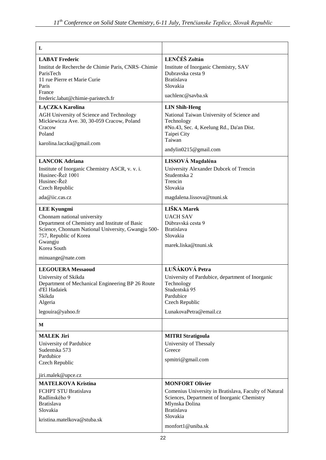| L                                                                                                                                                                                                                                  |                                                                                                                                                                              |
|------------------------------------------------------------------------------------------------------------------------------------------------------------------------------------------------------------------------------------|------------------------------------------------------------------------------------------------------------------------------------------------------------------------------|
| <b>LABAT Frederic</b>                                                                                                                                                                                                              | LENČÉŠ Zoltán                                                                                                                                                                |
| Institut de Recherche de Chimie Paris, CNRS-Chimie<br>ParisTech<br>11 rue Pierre et Marie Curie<br>Paris                                                                                                                           | Institute of Inorganic Chemistry, SAV<br>Dubravska cesta 9<br><b>Bratislava</b><br>Slovakia                                                                                  |
| France<br>frederic.labat@chimie-paristech.fr                                                                                                                                                                                       | uachlenc@sayba.sk                                                                                                                                                            |
| <b>ŁĄCZKA Karolina</b>                                                                                                                                                                                                             | <b>LIN Shih-Heng</b>                                                                                                                                                         |
| AGH University of Science and Technology<br>Mickiewicza Ave. 30, 30-059 Cracow, Poland<br>Cracow<br>Poland<br>karolina.laczka@gmail.com                                                                                            | National Taiwan University of Science and<br>Technology<br>#No.43, Sec. 4, Keelung Rd., Da'an Dist.<br>Taipei City<br>Taiwan                                                 |
|                                                                                                                                                                                                                                    | andylin0215@gmail.com                                                                                                                                                        |
| <b>LANCOK Adriana</b><br>Institute of Inorganic Chemistry ASCR, v. v. i.<br>Husinec-Řež 1001<br>Husinec-Řež<br>Czech Republic                                                                                                      | LISSOVÁ Magdaléna<br>University Alexander Dubcek of Trencin<br>Studentska 2<br>Trencin<br>Slovakia                                                                           |
| ada@iic.cas.cz                                                                                                                                                                                                                     | magdalena.lissova@tnuni.sk                                                                                                                                                   |
| <b>LEE Kyungmi</b><br>Chonnam national university<br>Department of Chemistry and Institute of Basic<br>Science, Chonnam National University, Gwangju 500-<br>757, Republic of Korea<br>Gwangju<br>Korea South<br>minuange@nate.com | LIŠKA Marek<br><b>UACH SAV</b><br>Dúbravská cesta 9<br><b>Bratislava</b><br>Slovakia<br>marek.liska@tnuni.sk                                                                 |
| <b>LEGOUERA Messaoud</b>                                                                                                                                                                                                           | LUŇÁKOVÁ Petra                                                                                                                                                               |
| University of Skikda<br>Department of Mechanical Engineering BP 26 Route<br>d'El Hadaiek<br>Skikda<br>Algeria<br>legouira@yahoo.fr                                                                                                 | University of Pardubice, department of Inorganic<br>Technology<br>Studentská 95<br>Pardubice<br>Czech Republic<br>LunakovaPetra@email.cz                                     |
|                                                                                                                                                                                                                                    |                                                                                                                                                                              |
| M                                                                                                                                                                                                                                  |                                                                                                                                                                              |
| <b>MALEK Jiri</b><br>University of Pardubice<br>Sudentska 573<br>Pardubice<br>Czech Republic<br>jiri.malek@upce.cz                                                                                                                 | <b>MITRI Stratigoula</b><br>University of Thessaly<br>Greece<br>spmitri@gmail.com                                                                                            |
| <b>MATELKOVA Kristina</b>                                                                                                                                                                                                          | <b>MONFORT Olivier</b>                                                                                                                                                       |
| FCHPT STU Bratislava<br>Radlinského 9<br><b>Bratislava</b><br>Slovakia<br>kristina.matelkova@stuba.sk                                                                                                                              | Comenius University in Bratislava, Faculty of Natural<br>Sciences, Department of Inorganic Chemistry<br>Mlynska Dolina<br><b>Bratislava</b><br>Slovakia<br>monfort1@uniba.sk |
|                                                                                                                                                                                                                                    |                                                                                                                                                                              |

 $\mathbf{I}$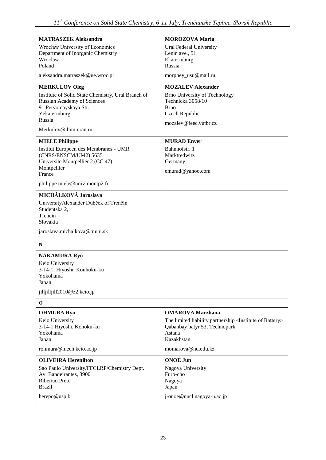| <b>MATRASZEK Aleksandra</b>                          | <b>MOROZOVA Maria</b>                                                                     |
|------------------------------------------------------|-------------------------------------------------------------------------------------------|
| Wrocław University of Economics                      | Ural Federal University                                                                   |
| Department of Inorganic Chemistry                    | Lenin ave., 51                                                                            |
| Wroclaw<br>Poland                                    | Ekaterinburg<br>Russia                                                                    |
|                                                      |                                                                                           |
| aleksandra.matraszek@ue.wroc.pl                      | morphey_usu@mail.ru                                                                       |
| <b>MERKULOV Oleg</b>                                 | <b>MOZALEV Alexander</b>                                                                  |
| Institute of Solid State Chemistry, Ural Branch of   | <b>Brno University of Technology</b><br>Technicka 3058/10                                 |
| Russian Academy of Sciences<br>91 Pervomayskaya Str. | <b>Brno</b>                                                                               |
| Yekaterinburg                                        | Czech Republic                                                                            |
| Russia                                               | mozalev@feec.vutbr.cz                                                                     |
| Merkulov@ihim.uran.ru                                |                                                                                           |
| <b>MIELE Philippe</b>                                | <b>MURAD Enver</b>                                                                        |
| Institut Europeen des Membranes - UMR                | Bahnhofstr. 1                                                                             |
| (CNRS/ENSCM/UM2) 5635                                | Marktredwitz                                                                              |
| Universite Montpellier 2 (CC 47)<br>Montpellier      | Germany                                                                                   |
| France                                               | emurad@yahoo.com                                                                          |
| philippe.miele@univ-montp2.fr                        |                                                                                           |
| MICHÁLKOVÁ Jaroslava                                 |                                                                                           |
| UniversityAlexander Dubček of Trenčín                |                                                                                           |
| Studentska 2,                                        |                                                                                           |
| Trencin                                              |                                                                                           |
| Slovakia                                             |                                                                                           |
| jaroslava.michalkova@tnuni.sk                        |                                                                                           |
| N                                                    |                                                                                           |
| <b>NAKAMURA Ryo</b>                                  |                                                                                           |
| Keio University                                      |                                                                                           |
| 3-14-1, Hiyoshi, Kouhoku-ku                          |                                                                                           |
| Yokohama<br>Japan                                    |                                                                                           |
| jilljilljill2010@z2.keio.jp                          |                                                                                           |
|                                                      |                                                                                           |
| $\mathbf 0$                                          |                                                                                           |
| <b>OHMURA Ryo</b>                                    | <b>OMAROVA Marzhana</b>                                                                   |
| Keio University<br>3-14-1 Hiyoshi, Kohoku-ku         | The limited liability partnership «Institute of Battery»<br>Qabanbay batyr 53, Technopark |
| Yokohama                                             | Astana                                                                                    |
| Japan                                                | Kazakhstan                                                                                |
| rohmura@mech.keio.ac.jp                              | momarova@nu.edu.kz                                                                        |
| <b>OLIVEIRA Herenilton</b>                           | <b>ONOE Jun</b>                                                                           |
| Sao Paulo University/FFCLRP/Chemistry Dept.          | Nagoya University                                                                         |
| Av. Bandeirantes, 3900                               | Furo-cho                                                                                  |
| Ribeirao Preto                                       | Nagoya                                                                                    |
| <b>Brazil</b>                                        | Japan                                                                                     |
| herepo@usp.br                                        | j-onoe@nucl.nagoya-u.ac.jp                                                                |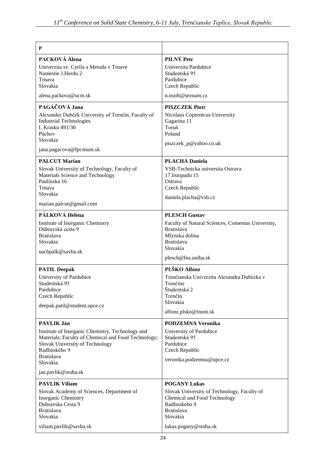| P                                                                                                                                                                                            |                                                                                                                                                                               |
|----------------------------------------------------------------------------------------------------------------------------------------------------------------------------------------------|-------------------------------------------------------------------------------------------------------------------------------------------------------------------------------|
| PACKOVÁ Alena                                                                                                                                                                                | PILNÝ Petr                                                                                                                                                                    |
| Univerzita sv. Cyrila a Metoda v Trnave<br>Namestie J.Herdu 2<br>Trnava<br>Slovakia                                                                                                          | Univerzita Pardubice<br>Studentská 95<br>Pardubice<br>Czech Republic                                                                                                          |
| alena.packova@ucm.sk                                                                                                                                                                         | n.nsoft@seznam.cz                                                                                                                                                             |
| PAGÁČOVÁ Jana                                                                                                                                                                                | <b>PISZCZEK Piotr</b>                                                                                                                                                         |
| Alexander Dubček University of Trenčín, Faculty of<br><b>Industrial Technologies</b><br>I. Krasku 491/30<br>Púchov<br>Slovakia                                                               | Nicolaus Copernicus University<br>Gagarina 11<br>Toruń<br>Poland<br>piszczek_p@yahoo.co.uk                                                                                    |
| jana.pagacova@fpt.tnuni.sk                                                                                                                                                                   |                                                                                                                                                                               |
| <b>PALCUT Marian</b><br>Slovak University of Technology, Faculty of<br>Materials Science and Technology<br>Paulinska 16<br>Trnava<br>Slovakia<br>marian.palcut@gmail.com                     | <b>PLACHA Daniela</b><br>VSB-Technicka universita Ostrava<br>17.listopadu 15<br>Ostrava<br>Czech Republic<br>daniela.placha@vsb.cz                                            |
| PÁLKOVÁ Helena                                                                                                                                                                               | <b>PLESCH Gustav</b>                                                                                                                                                          |
| Institute of Inorganic Chemistry<br>Dúbravská cesta 9<br><b>Bratislava</b><br>Slovakia<br>uachpalk@savba.sk                                                                                  | Faculty of Natural Sciences, Comenius University,<br><b>Bratislava</b><br>Mlynska dolina<br><b>Bratislava</b><br>Slovakia                                                     |
|                                                                                                                                                                                              | plesch@fns.uniba.sk                                                                                                                                                           |
| <b>PATIL Deepak</b><br>University of Pardubice<br>Studentská 95<br>Pardubice<br>Czech Republic<br>deepak.patil@student.upce.cz                                                               | PLŠKO Alfonz<br>Trenčianska Univerzita Alexandra Dubčeka v<br>Trenčíne<br>Študentská 2<br>Trenčín<br>Slovakia<br>alfonz.plsko@tnuni.sk                                        |
| PAVLIK Ján                                                                                                                                                                                   | <b>PODZEMNA Veronika</b>                                                                                                                                                      |
| Institute of Inorganic Chemistry, Technology and<br>Materials; Faculty of Chemical and Food Technology;<br>Slovak University of Technology<br>Radlinského 9<br><b>Bratislava</b><br>Slovakia | University of Pardubice<br>Studentská 95<br>Pardubice<br>Czech Republic<br>veronika.podzemna@upce.cz                                                                          |
| jan.pavlik@stuba.sk                                                                                                                                                                          |                                                                                                                                                                               |
| <b>PAVLIK Viliam</b><br>Slovak Academy of Sciences, Department of<br>Inorganic Chemistry<br>Dubravska Cesta 9<br><b>Bratislava</b><br>Slovakia<br>viliam.pavlik@savba.sk                     | <b>POGANY Lukas</b><br>Slovak University of Technology, Faculty of<br>Chemical and Food Technology<br>Radlinskeho 9<br><b>Bratislava</b><br>Slovakia<br>lukas.pogany@stuba.sk |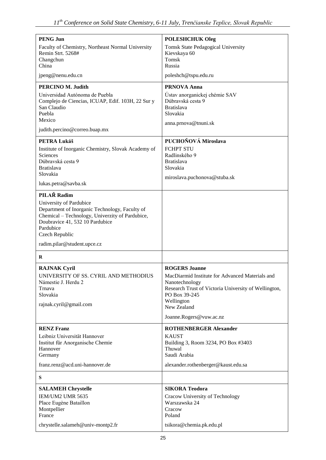| <b>PENG Jun</b>                                                                                                                                                                                                               | <b>POLESHCHUK Oleg</b>                                                                                                                                                                                                     |
|-------------------------------------------------------------------------------------------------------------------------------------------------------------------------------------------------------------------------------|----------------------------------------------------------------------------------------------------------------------------------------------------------------------------------------------------------------------------|
| Faculty of Chemistry, Northeast Normal University<br>Remin Strt. 5268#<br>Changchun<br>China                                                                                                                                  | <b>Tomsk State Pedagogical University</b><br>Kievskaya 60<br>Tomsk<br>Russia                                                                                                                                               |
| jpeng@nenu.edu.cn                                                                                                                                                                                                             | poleshch@tspu.edu.ru                                                                                                                                                                                                       |
| PERCINO M. Judith<br>Universidad Autónoma de Puebla<br>Complejo de Ciencias, ICUAP, Edif. 103H, 22 Sur y<br>San Claudio<br>Puebla<br>Mexico<br>judith.percino@correo.buap.mx                                                  | <b>PRNOVA Anna</b><br>Ústav anorganickej chémie SAV<br>Dúbravská cesta 9<br><b>Bratislava</b><br>Slovakia<br>anna.prnova@tnuni.sk                                                                                          |
|                                                                                                                                                                                                                               |                                                                                                                                                                                                                            |
| <b>PETRA Lukáš</b><br>Institute of Inorganic Chemistry, Slovak Academy of<br><b>Sciences</b><br>Dúbravská cesta 9<br><b>Bratislava</b><br>Slovakia<br>lukas.petra@savba.sk                                                    | PUCHOŇOVÁ Miroslava<br><b>FCHPT STU</b><br>Radlinského 9<br><b>Bratislava</b><br>Slovakia<br>miroslava.puchonova@stuba.sk                                                                                                  |
| PILAŘ Radim                                                                                                                                                                                                                   |                                                                                                                                                                                                                            |
| University of Pardubice<br>Department of Inorganic Technology, Faculty of<br>Chemical - Technology, Univerzity of Pardubice,<br>Doubravice 41, 532 10 Pardubice<br>Pardubice<br>Czech Republic<br>radim.pilar@student.upce.cz |                                                                                                                                                                                                                            |
| R                                                                                                                                                                                                                             |                                                                                                                                                                                                                            |
| <b>RAJNAK Cyril</b><br>UNIVERSITY OF SS. CYRIL AND METHODIUS<br>Námestie J. Herdu 2<br>Trnava<br>Slovakia<br>rajnak.cyril@gmail.com                                                                                           | <b>ROGERS Joanne</b><br>MacDiarmid Institute for Advanced Materials and<br>Nanotechnology<br>Research Trust of Victoria University of Wellington,<br>PO Box 39-245<br>Wellington<br>New Zealand<br>Joanne.Rogers@vuw.ac.nz |
|                                                                                                                                                                                                                               |                                                                                                                                                                                                                            |
| <b>RENZ Franz</b><br>Leibniz Universität Hannover<br>Institut für Anorganische Chemie<br>Hannover<br>Germany<br>franz.renz@acd.uni-hannover.de                                                                                | <b>ROTHENBERGER Alexander</b><br><b>KAUST</b><br>Building 3, Room 3234, PO Box #3403<br>Thuwal<br>Saudi Arabia<br>alexander.rothenberger@kaust.edu.sa                                                                      |
| S                                                                                                                                                                                                                             |                                                                                                                                                                                                                            |
| <b>SALAMEH Chrystelle</b>                                                                                                                                                                                                     | <b>SIKORA Teodora</b>                                                                                                                                                                                                      |
| IEM/UM2 UMR 5635<br>Place Eugène Bataillon<br>Montpellier<br>France                                                                                                                                                           | Cracow University of Technology<br>Warszawska 24<br>Cracow<br>Poland                                                                                                                                                       |
| chrystelle.salameh@univ-montp2.fr                                                                                                                                                                                             | tsikora@chemia.pk.edu.pl                                                                                                                                                                                                   |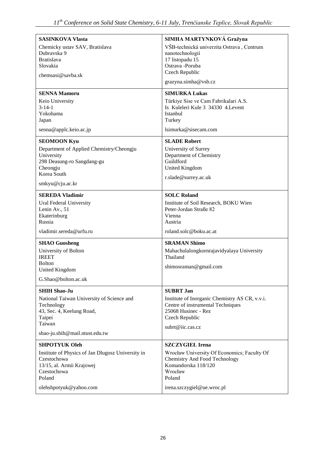| <b>SASINKOVA Vlasta</b>                                                                                                                                  | SIMHA MARTYNKOVÁ Gražyna                                                                                                                         |
|----------------------------------------------------------------------------------------------------------------------------------------------------------|--------------------------------------------------------------------------------------------------------------------------------------------------|
| Chemicky ustav SAV, Bratislava<br>Dubrayska 9<br><b>Bratislava</b><br>Slovakia                                                                           | VŠB-technická univerzita Ostrava, Centrum<br>nanotechnologií<br>17 listopadu 15<br>Ostrava -Poruba                                               |
| chemsasi@savba.sk                                                                                                                                        | Czech Republic                                                                                                                                   |
|                                                                                                                                                          | grazyna.simha@vsb.cz                                                                                                                             |
| <b>SENNA Mamoru</b>                                                                                                                                      | <b>SIMURKA Lukas</b>                                                                                                                             |
| Keio University<br>$3 - 14 - 1$<br>Yokohama<br>Japan                                                                                                     | Türkiye Sise ve Cam Fabrikalari A.S.<br>Is Kuleleri Kule 3 34330 4. Levent<br>Istanbul<br>Turkey                                                 |
| senna@applc.keio.ac.jp                                                                                                                                   | lsimurka@sisecam.com                                                                                                                             |
| <b>SEOMOON Kyu</b><br>Department of Applied Chemistry/Cheongju<br>University<br>298 Deasung-ro Sangdang-gu<br>Cheongju<br>Korea South<br>smkyu@cju.ac.kr | <b>SLADE Robert</b><br>University of Surrey<br>Department of Chemistry<br>Guildford<br>United Kingdom<br>r.slade@surrey.ac.uk                    |
| <b>SEREDA Vladimir</b>                                                                                                                                   | <b>SOLC Roland</b>                                                                                                                               |
| Ural Federal University<br>Lenin Av., 51<br>Ekaterinburg<br>Russia                                                                                       | Institute of Soil Research, BOKU Wien<br>Peter-Jordan Straße 82<br>Vienna<br>Austria                                                             |
| vladimir.sereda@urfu.ru                                                                                                                                  | roland.solc@boku.ac.at                                                                                                                           |
| <b>SHAO Guosheng</b><br>University of Bolton<br><b>IREET</b><br><b>Bolton</b>                                                                            | <b>SRAMAN Shimo</b><br>Mahachulalongkornrajavidyalaya University<br>Thailand                                                                     |
| United Kingdom                                                                                                                                           | shimosraman@gmail.com                                                                                                                            |
| G.Shao@bolton.ac.uk                                                                                                                                      |                                                                                                                                                  |
| <b>SHIH Shao-Ju</b>                                                                                                                                      | <b>SUBRT Jan</b>                                                                                                                                 |
| National Taiwan University of Science and<br>Technology<br>43, Sec. 4, Keelung Road,<br>Taipei<br>Taiwan                                                 | Institute of Inorganic Chemistry AS CR, v.v.i.<br>Centre of instrumental Techniques<br>25068 Husinec - Rez<br>Czech Republic<br>subrt@iic.cas.cz |
| shao-ju.shih@mail.ntust.edu.tw                                                                                                                           |                                                                                                                                                  |
| <b>SHPOTYUK Oleh</b>                                                                                                                                     | <b>SZCZYGIEŁ Irena</b>                                                                                                                           |
| Institute of Physics of Jan Dlugosz University in<br>Czestochowa<br>13/15, al. Armii Krajowej<br>Czestochowa<br>Poland                                   | Wrocław University Of Economics; Faculty Of<br><b>Chemistry And Food Technology</b><br>Komandorska 118/120<br>Wrocław<br>Poland                  |
| olehshpotyuk@yahoo.com                                                                                                                                   | irena.szczygiel@ue.wroc.pl                                                                                                                       |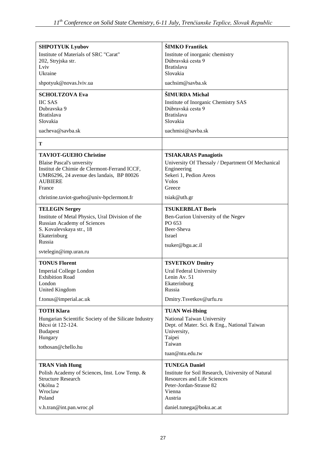| <b>SHPOTYUK Lyubov</b>                                         | ŠIMKO František                                               |
|----------------------------------------------------------------|---------------------------------------------------------------|
| Institute of Materials of SRC "Carat"                          | Institute of inorganic chemistry                              |
| 202, Stryjska str.                                             | Dúbravská cesta 9                                             |
| Lviv                                                           | <b>Bratislava</b>                                             |
| Ukraine                                                        | Slovakia                                                      |
| shpotyuk@novas.lviv.ua                                         | uachsim@savba.sk                                              |
| <b>SCHOLTZOVA Eva</b>                                          | ŠIMURDA Michal                                                |
| <b>IIC SAS</b>                                                 | Institute of Inorganic Chemistry SAS                          |
| Dubravska 9                                                    | Dúbravská cesta 9                                             |
| <b>Bratislava</b><br>Slovakia                                  | <b>Bratislava</b><br>Slovakia                                 |
|                                                                |                                                               |
| uacheva@savba.sk                                               | uachmisi@savba.sk                                             |
| T                                                              |                                                               |
| <b>TAVIOT-GUEHO Christine</b>                                  | <b>TSIAKARAS Panagiotis</b>                                   |
| <b>Blaise Pascal's unversity</b>                               | University Of Thessaly / Department Of Mechanical             |
| Institut de Chimie de Clermont-Ferrand ICCF,                   | Engineering                                                   |
| UMR6296, 24 avenue des landais, BP 80026<br><b>AUBIERE</b>     | Sekeri 1, Pedion Areos<br><b>Volos</b>                        |
| France                                                         | Greece                                                        |
|                                                                |                                                               |
| christine.taviot-gueho@univ-bpclermont.fr                      | tsiak@uth.gr                                                  |
| <b>TELEGIN Sergey</b>                                          | <b>TSUKERBLAT Boris</b>                                       |
| Institute of Metal Physics, Ural Division of the               | Ben-Gurion University of the Negev                            |
| <b>Russian Academy of Sciences</b><br>S. Kovalevskaya str., 18 | PO 653<br>Beer-Sheva                                          |
| Ekaterinburg                                                   | Israel                                                        |
| Russia                                                         |                                                               |
| svtelegin@imp.uran.ru                                          | tsuker@bgu.ac.il                                              |
|                                                                |                                                               |
| <b>TONUS Florent</b>                                           | <b>TSVETKOV Dmitry</b>                                        |
| <b>Imperial College London</b><br><b>Exhibition Road</b>       | Ural Federal University<br>Lenin Av. 51                       |
| London                                                         | Ekaterinburg                                                  |
| United Kingdom                                                 | Russia                                                        |
| f.tonus@imperial.ac.uk                                         | Dmitry.Tsvetkov@urfu.ru                                       |
| <b>TOTH Klara</b>                                              | <b>TUAN Wei-Hsing</b>                                         |
| Hungarian Scientific Society of the Silicate Industry          | National Taiwan University                                    |
| Bécsi út 122-124.                                              | Dept. of Mater. Sci. & Eng., National Taiwan                  |
| <b>Budapest</b>                                                | University,                                                   |
| Hungary                                                        | Taipei                                                        |
| tothosan@chello.hu                                             | Taiwan                                                        |
|                                                                | tuan@ntu.edu.tw                                               |
| <b>TRAN Vinh Hung</b>                                          | <b>TUNEGA Daniel</b>                                          |
| Polish Academy of Sciences, Inst. Low Temp. &                  | Institute for Soil Research, University of Natural            |
| <b>Structure Research</b><br>Okólna 2                          | <b>Resources and Life Sciences</b><br>Peter-Jordan-Strasse 82 |
| Wroclaw                                                        | Vienna                                                        |
| Poland                                                         | Austria                                                       |
| v.h.tran@int.pan.wroc.pl                                       | daniel.tunega@boku.ac.at                                      |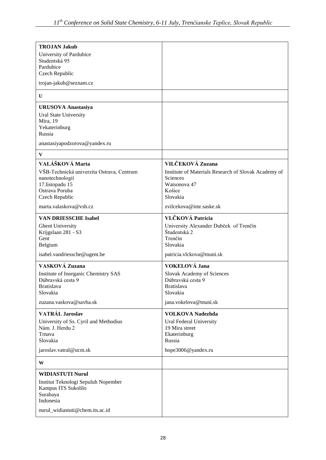| <b>TROJAN Jakub</b>                       |                                                      |
|-------------------------------------------|------------------------------------------------------|
| University of Pardubice                   |                                                      |
| Studentská 95                             |                                                      |
| Pardubice                                 |                                                      |
| Czech Republic                            |                                                      |
| trojan-jakub@seznam.cz                    |                                                      |
| $\mathbf{U}$                              |                                                      |
| <b>URUSOVA Anastasiya</b>                 |                                                      |
| Ural State University                     |                                                      |
| Mira, 19                                  |                                                      |
| Yekaterinburg                             |                                                      |
| Russia                                    |                                                      |
| anastasiyapodzorova@yandex.ru             |                                                      |
| $\mathbf{V}$                              |                                                      |
| VALÁŠKOVÁ Marta                           | VILČEKOVÁ Zuzana                                     |
| VŠB-Technická univerzita Ostrava, Centrum | Institute of Materials Research of Slovak Academy of |
| nanotechnologií                           | Sciences                                             |
| 17.listopadu 15                           | Watsonova 47                                         |
| Ostrava Poruba                            | Košice                                               |
| Czech Republic                            | Slovakia                                             |
| marta.valaskova@vsb.cz                    | zvilcekova@imr.saske.sk                              |
| <b>VAN DRIESSCHE Isabel</b>               | VLČKOVÁ Patrícia                                     |
| <b>Ghent University</b>                   | University Alexander Dubček of Trenčín               |
| Krijgslaan 281 - S3                       | Študentská 2                                         |
| Gent                                      | Trenčín                                              |
| Belgium                                   | Slovakia                                             |
| isabel.vandriessche@ugent.be              | patricia.vlckova@tnuni.sk                            |
| VASKOVÁ Zuzana                            | VOKELOVÁ Jana                                        |
| Institute of Inorganic Chemistry SAS      | Slovak Academy of Sciences                           |
| Dúbravská cesta 9                         | Dúbravská cesta 9                                    |
| <b>Bratislava</b>                         | <b>Bratislava</b>                                    |
| Slovakia                                  | Slovakia                                             |
| zuzana.vaskova@savba.sk                   | jana.vokelova@tnuni.sk                               |
| <b>VATRÁL Jaroslav</b>                    | <b>VOLKOVA Nadezhda</b>                              |
| University of Ss. Cyril and Methodius     | Ural Federal University                              |
| Nám. J. Herdu 2                           | 19 Mira street                                       |
| Trnava                                    | Ekaterinburg                                         |
| Slovakia                                  | Russia                                               |
| jaroslav.vatral@ucm.sk                    | hope3006@yandex.ru                                   |
| W                                         |                                                      |
| <b>WIDIASTUTI Nurul</b>                   |                                                      |
| Institut Teknologi Sepuluh Nopember       |                                                      |
| Kampus ITS Sukolilo                       |                                                      |
| Surabaya                                  |                                                      |
| Indonesia                                 |                                                      |
| nurul_widiastuti@chem.its.ac.id           |                                                      |
|                                           |                                                      |